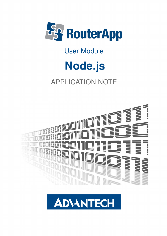

### User Module

# Node.js

### APPLICATION NOTE



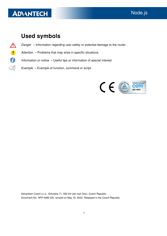$\frac{1}{2}$ 

J)

### Used symbols

- $\Delta$ Danger – Information regarding user safety or potential damage to the router.
	- Attention Problems that may arise in specific situations.
	- Information or notice Useful tips or information of special interest.
		- Example Example of function, command or script.



Advantech Czech s.r.o., Sokolska 71, 562 04 Usti nad Orlici, Czech Republic Document No. APP-0080-EN, revised on May 18, 2022. Released in the Czech Republic.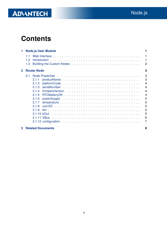### **Contents**

| 1            |                  | <b>Node.js User Module</b> |                                     |
|--------------|------------------|----------------------------|-------------------------------------|
|              | 11<br>1.2<br>1.3 |                            | 1<br>$\mathbf{1}$<br>$\overline{2}$ |
| $\mathbf{2}$ |                  | <b>Router Node</b>         | 3                                   |
|              | 2.1              |                            | 3                                   |
|              |                  | 2.1.1                      | 3                                   |
|              |                  | 2.1.2                      | $\overline{4}$                      |
|              |                  | 2.1.3                      | $\overline{4}$                      |
|              |                  | 214                        | $\overline{4}$                      |
|              |                  | 2.1.5                      | $\overline{4}$                      |
|              |                  | 2.1.6                      | $\overline{4}$                      |
|              |                  | 2.1.7                      | 5                                   |
|              |                  | 2.1.8                      | 5                                   |
|              |                  | 219                        | 5                                   |
|              |                  |                            | 5                                   |
|              |                  | 2.1.11 XBus                | 6                                   |
|              |                  |                            | 7                                   |
| 3            |                  | <b>Related Documents</b>   | 9                                   |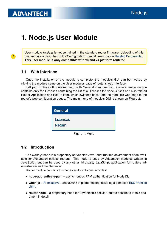$\bullet$ 

### <span id="page-3-0"></span>1. Node.js User Module

User module Node.js is not contained in the standard router firmware. Uploading of this user module is described in the Configuration manual (see Chapter [Related Documents\)](#page-11-0). This user module is only compatible with v3 and v4 platform routers!

#### <span id="page-3-1"></span>1.1 Web Interface

Once the installation of the module is complete, the module's GUI can be invoked by clicking the module name on the User modules page of router's web interface.

Left part of this GUI contains menu with General menu section. General menu section contains only the Licenses containing the list of all licenses for Node.js itself and also related Router Application and Return item, which switches back from the module's web page to the router's web configuration pages. The main menu of module's GUI is shown on Figure 2.



Figure 1: Menu

#### <span id="page-3-2"></span>1.2 Introduction

The *Node is* node is a proprietary server-side JavaScript runtime environment node available for Advantech cellular routers. This node is used by Advantech modules written in JavaScript, but can be used by any other third-party JavaScript application for routers administration and maintenance.

Router module contains this nodes addition to buil-in nodes:

- node-authenticate-pam asynchronous PAM authentication for NodeJS,
- when.js [Promises/A+](http://promises-aplus.github.com/promises-spec) and when() implementation, including a complete [ES6 Promise](https://github.com/cujojs/when/blob/HEAD/docs/es6-promise-shim.md) [shim,](https://github.com/cujojs/when/blob/HEAD/docs/es6-promise-shim.md)
- router node a proprietary node for Advantech's cellular routers described in this document in detail.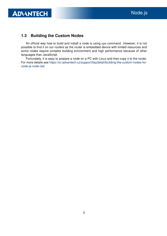### <span id="page-4-0"></span>1.3 Building the Custom Nodes

An official way how to build and install a node is using npm command. However, it is not possible to find it on our routers as the router is embedded device with limited resources and some nodes require complex building environment and high performance because of other languages than JavaScript.

Fortunately, it is easy to prepare a node on a PC with Linux and then copy it to the router. For more details see [https://icr.advantech.cz/support/faq/detail/building-the-custom-nodes-for](https://icr.advantech.cz/support/faq/detail/building-the-custom-nodes-for-node-js-node-red)[node-js-node-red.](https://icr.advantech.cz/support/faq/detail/building-the-custom-nodes-for-node-js-node-red)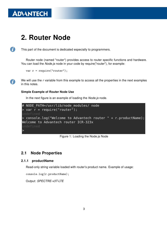$\bullet$ 

 $\bullet$ 

### <span id="page-5-0"></span>2. Router Node

This part of the document is dedicated especially to programmers.

Router node (named "router") provides access to router specific functions and hardware. You can load the Node.js node in your code by require("router"), for example:

```
var r = \text{require("router");}
```
We will use the r variable from this example to access all the properties in the next examples in this notes.

#### Simple Example of Router Node Use

In the next figure is an example of loading the Node.js node.



#### Figure 1: Loading the Node.js Node

#### <span id="page-5-1"></span>2.1 Node Properties

#### <span id="page-5-2"></span>2.1.1 productName

Read-only string variable loaded with router's product name. Example of usage:

```
console.log(r.productName);
```
Output: SPECTRE-v3T-LTE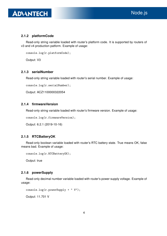#### <span id="page-6-0"></span>2.1.2 platformCode

Read-only string variable loaded with router's platform code. It is supported by routers of v3 and v4 production patform. Example of usage:

```
console.log(r.platformCode);
```
Output: V3

#### <span id="page-6-1"></span>2.1.3 serialNumber

Read-only string variable loaded with router's serial number. Example of usage:

console.log(r.serialNumber);

Output: ACZ1100000322054

#### <span id="page-6-2"></span>2.1.4 firmwareVersion

Read-only string variable loaded with router's firmware version. Example of usage:

console.log(r.firmwareVersion);

Output: 6.2.1 (2019-10-16)

#### <span id="page-6-3"></span>2.1.5 RTCBatteryOK

Read-only boolean variable loaded with router's RTC battery state. True means OK, false means bad. Example of usage:

```
console.log(r.RTCBatteryOK);
```
Output: true

#### <span id="page-6-4"></span>2.1.6 powerSupply

Read-only decimal number variable loaded with router's power supply voltage. Example of usage:

```
console.log(r.powerSupply + " V");
```
Output: 11.701 V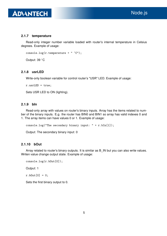#### <span id="page-7-0"></span>2.1.7 temperature

Read-only integer number variable loaded with router's internal temperature in Celsius degrees. Example of usage:

```
console.log(r.temperature + " °C");
```
Output: 39 ◦C

#### <span id="page-7-1"></span>2.1.8 usrLED

Write-only boolean variable for control router's "USR" LED. Example of usage:

```
r.usrLED = true;
```
Sets USR LED to ON (lighting).

#### <span id="page-7-2"></span>2.1.9 bIn

Read-only array with values on router's binary inputs. Array has the items related to number of the binary inputs. E.g. the router has BIN0 and BIN1 so array has valid indexes 0 and 1. The array items can have values 0 or 1. Example of usage:

```
console.log("The secondary binary input: " + r.bIn[1]);
```
Output: The secondary binary input: 0

#### <span id="page-7-3"></span>2.1.10 bOut

Array related to router's binary outputs. It is similar as B\_IN but you can also write values. Writen value change output state. Example of usage:

```
console.log(r.bOut[0]);
```
Output: 1

 $r.b0ut[0] = 0;$ 

Sets the first binary output to 0.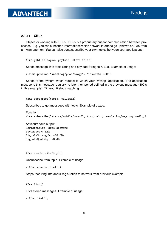#### <span id="page-8-0"></span>2.1.11 XBus

Object for working with X Bus. X Bus is a proprietary bus for communication between processes. E.g. you can subscribe informations which network interface go up/down or SMS from a mwan daemon. You can also send/subscribe your own topics between your applications.

XBus.publish(topic, payload, store=false)

Sends message with topic String and payload String to X Bus. Example of usage:

r.xBus.publish("watchdog/proc/myapp", "Timeout: 300");

Sends to the system watch request to watch your "myapp" application. The application must send this message regulary no later then period defined in the previous message (300 s in this example). Timeout 0 stops watching.

XBus.subscribe(topic, callback)

Subscribes to get messages with topic. Example of usage:

Function: xbus.subscribe("status/mobile/mwan0", (msg) => {console.log(msg.payload);});

Asynchronous output: Registration: Home Network Technology: LTE Signal-Strength: -88 dBm Signal-Quality: -8 dB

XBus.unsubscribe(topic)

Unsubscribe from topic. Example of usage:

r.XBus.unsubscribe(id);

Stops receiving info abour registration to network from previous example.

XBus.list()

Lists stored messages. Example of usage:

r.XBus.list();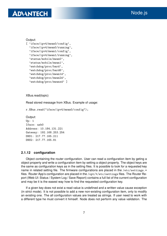### **ADIANTECH**

```
Output:
[ 'iface/ipv4/mwan0/config',
  'iface/ipv4/mwan0/running',
  'iface/ipv4/mwan1/config',
  'iface/ipv4/mwan1/running',
  'status/mobile/mwan0',
  'status/mobile/mwan1',
  'watchdog/proc/bard',
  'watchdog/proc/bard6',
  'watchdog/proc/mwan1d',
  'watchdog/proc/mwan2d',
  'watchdog/proc/mwanxd' ]
```
XBus.read(topic)

Read stored message from XBus. Example of usage:

```
r.XBus.read("iface/ipv4/mwan0/config");
```

```
Output:
Up: 1
Iface: usb0
Address: 10.184.131.221
Gateway: 192.168.253.254
DNS1: 217.77.165.211
DNS2: 217.77.165.81
```
#### <span id="page-9-0"></span>2.1.12 configuration

Object containing the router configuration. User can read a configuration item by geting a object property and write a configuration item by setting a object property. The object keys are the same as configuration keys as in the setting files. It is possible to look for a requested key name in related setting file. The firmware configurations are placed in the /etc/settings.\* files. Router App's configuration are placed in the /opt/\*/etc/settings files. The Router Report (Web UI: Status / System Log / Save Report) contains a full list of the current configuration and may be it is the easest way how to find the requested configuration key.

If a given key does not exist a read value is undefined and a written value cause exception (in strict mode). It is not possible to add a new non-existing configuration item, only to modify an existing one. The all configuration values are treated as strings. If user need to work with a different type he must convert it himself. Node does not perform any value validation. The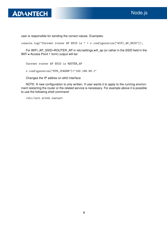

user is responsible for sending the correct values. Examples:

console.log("Current router AP SSID is " + r.configuration["WIFI\_AP\_SSID"]);

For WIFI\_AP\_SSID=ROUTER\_AP in /etc/settings.wifi\_ap (or rather in the SSID field in the WiFi • Access Point 1 form) output will be:

Current router AP SSID is ROUTER\_AP

r.configuration["ETH\_IPADDR"]="192.168.99.1"

Changes the IP addres on eth0 interface

NOTE: A new configuration is only written. If user wants it to apply to the running environment restarting the router or the related service is necessary. For example above it is possible to use the following shell command:

/etc/init.d/eth restart